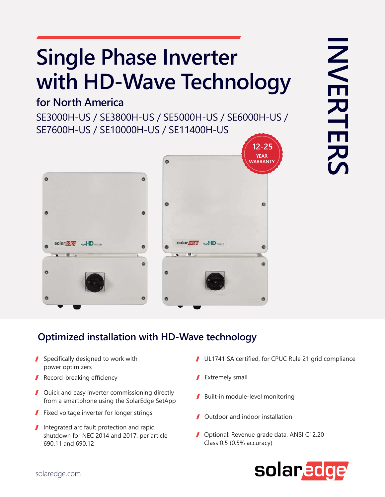# **Single Phase Inverter with HD-Wave Technology**

## **for North America**

SE3000H-US / SE3800H-US / SE5000H-US / SE6000H-US / SE7600H-US / SE10000H-US / SE11400H-US





### **Optimized installation with HD-Wave technology**

- Specifically designed to work with power optimizers
- Record-breaking efficiency
- Quick and easy inverter commissioning directly from a smartphone using the SolarEdge SetApp
- **Fixed voltage inverter for longer strings**
- Integrated arc fault protection and rapid shutdown for NEC 2014 and 2017, per article 690.11 and 690.12
- UL1741 SA certified, for CPUC Rule 21 grid compliance
- **Extremely small**
- Built-in module-level monitoring
- Outdoor and indoor installation
- **Optional: Revenue grade data, ANSI C12.20** Class 0.5 (0.5% accuracy)

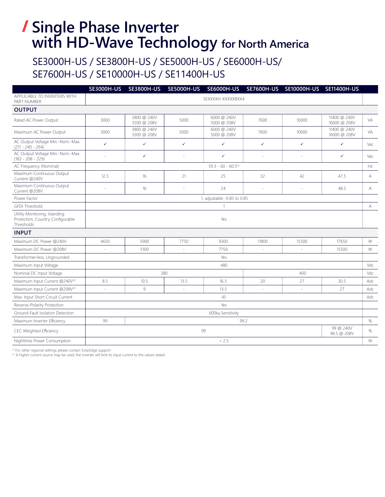## **Single Phase Inverter with HD-Wave Technology for North America**

### SE3000H-US / SE3800H-US / SE5000H-US / SE6000H-US/ SE7600H-US / SE10000H-US / SE11400H-US

|                                                                                 | <b>SE3000H-US</b>           | <b>SE3800H-US</b>          | <b>SE5000H-US</b> | <b>SE6000H-US</b>          |                | SE7600H-US SE10000H-US SE11400H-US |                              |     |  |
|---------------------------------------------------------------------------------|-----------------------------|----------------------------|-------------------|----------------------------|----------------|------------------------------------|------------------------------|-----|--|
| APPLICABLE TO INVERTERS WITH<br>PART NUMBER                                     | SEXXXXH-XXXXXBXX4           |                            |                   |                            |                |                                    |                              |     |  |
| <b>OUTPUT</b>                                                                   |                             |                            |                   |                            |                |                                    |                              |     |  |
| Rated AC Power Output                                                           | 3000                        | 3800 @ 240V<br>3300 @ 208V | 5000              | 6000 @ 240V<br>5000 @ 208V | 7600           | 10000                              | 11400 @ 240V<br>10000 @ 208V | VA. |  |
| Maximum AC Power Output                                                         | 3000                        | 3800 @ 240V<br>3300 @ 208V | 5000              | 6000 @ 240V<br>5000 @ 208V | 7600           | 10000                              | 11400 @ 240V<br>10000 @ 208V | VA  |  |
| AC Output Voltage Min.-Nom.-Max.<br>$(211 - 240 - 264)$                         | $\checkmark$                | $\checkmark$               | $\checkmark$      | $\checkmark$               | ✓              | $\checkmark$                       | $\checkmark$                 | Vac |  |
| AC Output Voltage Min.-Nom.-Max.<br>$(183 - 208 - 229)$                         | ÷                           | $\checkmark$               | $\sim$            | $\checkmark$               | $\sim$         | ÷,                                 | $\checkmark$                 | Vac |  |
| AC Frequency (Nominal)                                                          | $59.3 - 60 - 60.5(1)$       |                            |                   |                            |                |                                    |                              | Hz  |  |
| Maximum Continuous Output<br>Current @240V                                      | 12.5                        | 16                         | 21                | 25                         | 32             | 42                                 | 47.5                         | А   |  |
| Maximum Continuous Output<br>Current @208V                                      | ٠                           | 16                         | ÷.                | 24                         |                | ÷                                  | 48.5                         | А   |  |
| Power Factor                                                                    | 1, adjustable -0.85 to 0.85 |                            |                   |                            |                |                                    |                              |     |  |
| <b>GFDI Threshold</b>                                                           |                             |                            |                   |                            |                |                                    |                              | А   |  |
| Utility Monitoring, Islanding<br>Protection, Country Configurable<br>Thresholds | Yes                         |                            |                   |                            |                |                                    |                              |     |  |
| <b>INPUT</b>                                                                    |                             |                            |                   |                            |                |                                    |                              |     |  |
| Maximum DC Power @240V                                                          | 4650                        | 5900                       | 7750              | 9300                       | 11800          | 15500                              | 17650                        | W   |  |
| Maximum DC Power @208V                                                          | $\sim$                      | 5100                       | $\sim$            | 7750                       | $\overline{a}$ | $\overline{a}$                     | 15500                        | W   |  |
| Transformer-less, Ungrounded                                                    | Yes                         |                            |                   |                            |                |                                    |                              |     |  |
| Maximum Input Voltage                                                           | 480                         |                            |                   |                            |                |                                    |                              | Vdc |  |
| Nominal DC Input Voltage                                                        | 380<br>400                  |                            |                   |                            |                |                                    | Vdc                          |     |  |
| Maximum Input Current @240V(2)                                                  | 8.5                         | 10.5                       | 13.5              | 16.5                       | 20             | 27                                 | 30.5                         | Adc |  |
| Maximum Input Current @208V(2)                                                  | ä,                          | 9                          |                   | 13.5                       |                | L.                                 | 27                           | Adc |  |
| Max. Input Short Circuit Current                                                | 45                          |                            |                   |                            |                |                                    |                              | Adc |  |
| Reverse-Polarity Protection                                                     | Yes                         |                            |                   |                            |                |                                    |                              |     |  |
| Ground-Fault Isolation Detection                                                | 600ko Sensitivity           |                            |                   |                            |                |                                    |                              |     |  |
| Maximum Inverter Efficiency                                                     | 99<br>99.2                  |                            |                   |                            |                |                                    |                              | %   |  |
| CEC Weighted Efficiency                                                         | 99                          |                            |                   |                            |                |                                    | 99 @ 240V<br>98.5 @ 208V     | %   |  |
| Nighttime Power Consumption                                                     | < 2.5                       |                            |                   |                            |                |                                    |                              | W   |  |

(1) For other regional settings please contact SolarEdge support

<sup>(2)</sup> A higher current source may be used; the inverter will limit its input current to the values stated